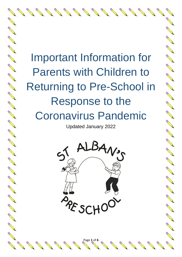Important Information for Parents with Children to Returning to Pre-School in Response to the Coronavirus Pandemic

**Contract Contract Contract Contract Contract Contract Contract Contract Contract Contract Contract Contract Contract Contract Contract Contract Contract Contract Contract Contract Contract Contract Contract Contract Contr** 

A March 19

**RANCISCO CONTROLLER** 

**Contract on the Contract of the Contract of The Contract of The Contract of The Contract of The Contract of The Contract of The Contract of The Contract of The Contract of The Contract of The Contract of The Contract of T** 

A Maria

North Carpenter

Contraction of

A March

**CONTROLLER** 

**RANT** 

A A R

RANGE RE

Control R

A REA

**CONTROLLER** 

Change of

Contraction of

RA REA

New York

A Maria

AND ROAD

A March

**ANTICOLOGICA** 

AND TO

A March

AND RD

**Contract of the Contract of the Contract of the Contract of The Contract of The Contract of The Contract of The Contract of The Contract of The Contract of The Contract of The Contract of The Contract of The Contract of T** 

Updated January 2022



Page **1** of **6**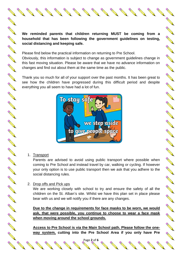**We reminded parents that children returning MUST be coming from a household that has been following the government guidelines on testing, social distancing and keeping safe.**

AND TO BE A STRONG TO BE A STRONG TO BE A STRONG TO BE A STRONG TO BE A STRONG TO BE A STRONG TO BE A STRONG TO BE A STRONG TO BE A STRONG TO BE A STRONG TO BE A STRONG TO BE A STRONG TO BE A STRONG TO BE A STRONG TO BE A

No recent de

A Marian

AND TO BE A PARTICULAR OF

A REAL REAL

**ANTICOLOGICAL CONTRACTORISTICS** 

A Red Band

**RANCISCO CONTROLLER** 

**ANTICOLLECTION** 

**ANTICOLOGICAL CONTRACTORI** 

COMPARTMENT

AND TO BE

No. of the contract of the

**RANCISCO CONTROLLER** 

A March 19

A March 19

AND TO

Beech and the contract of the contract of

Please find below the practical information on returning to Pre School. Obviously, this information is subject to change as government guidelines change in this fast moving situation. Please be aware that we have no advance information on changes and find out about them at the same time as the public.

Thank you so much for all of your support over the past months. It has been great to see how the children have progressed during this difficult period and despite everything you all seem to have had a lot of fun.



1. Transport

Parents are advised to avoid using public transport where possible when coming to Pre School and instead travel by car, walking or cycling. If however your only option is to use public transport then we ask that you adhere to the social distancing rules.

## 2. Drop offs and Pick ups

We are working closely with school to try and ensure the safety of all the children on the St. Alban's site. Whilst we have this plan set in place please bear with us and we will notify you if there are any changes.

**Due to the change in requirements for face masks to be worn, we would ask, that were possible, you continue to choose to wear a face mask when moving around the school grounds.**

**Access to Pre School is via the Main School path. Please follow the oneway system, cutting into the Pre School Area if you only have Pre** 

Page **2** of **6**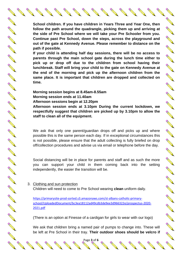**School children. If you have children in Years Three and Year One, then follow the path around the quadrangle, picking them up and arriving at the side of Pre School where we will take your Pre Schooler from you. Continue past Pre School, down the steps, across the playground and out of the gate at Kennedy Avenue. Please remember to distance on the path if possible.**

Article of the Contract of the Contract of the Contract of the Contract of Taxable

**RANCISCO CONTROLLER** 

A Maria

A March

AND A

AND TO

A March 19

**RANCISCO CONTROLLER** 

A March 19

A March

AND ROAD

Contractor of

A REA

A March

Control of Control of Control of Control and Control of Control of Control of Control of Control of Control of

A Maria

A March

CONTROLLER

**RANCHER** 

A REA

AND A

AND A

Jeremia de la Carte de la Carte de la Carte de la Carte de la Carte de la Carte de la Carte de la Carte de la

**Contract of the Contract of the Contract of The Contract of The Contract of The Contract of The Contract of The Contract of The Contract of The Contract of The Contract of The Contract of The Contract of The Contract of T** 

**If your child is attending half day sessions, there will be no access to parents through the main school gate during the lunch time either to pick up or drop off due to the children from school having their lunchbreak. Staff will bring your child to the gate on Kennedy Avenue at the end of the morning and pick up the afternoon children from the same place. It is important that children are dropped and collected on time.**

**Morning session begins at 8.45am-8.55am Morning session ends at 11.40am Afternoon sessions begin at 12.20pm**

**Afternoon session ends at 3.10pm During the current lockdown, we respectfully suggest that children are picked up by 3.10pm to allow the staff to clean all of the equipment.**

We ask that only one parent/guardian drops off and picks up and where possible this is the same person each day. If in exceptional circumstances this is not possible, please ensure that the adult collecting is fully briefed on drop off/collection procedures and advise us via email or telephone before the day.

Social distancing will be in place for parents and staff and as such the more you can support your child in them coming back into the setting independently, the easier the transition will be.

### 3. Clothing and sun protection Children will need to come to Pre School wearing **clean** uniform daily.

[https://primarysite-prod-sorted.s3.amazonaws.com/st-albans-catholic-primary](https://primarysite-prod-sorted.s3.amazonaws.com/st-albans-catholic-primary-school/UploadedDocument/bc3ea18112ad49cdb3de9ee3d966322e/prospectus-2020-2021.pdf)[school/UploadedDocument/bc3ea18112ad49cdb3de9ee3d966322e/prospectus-2020-](https://primarysite-prod-sorted.s3.amazonaws.com/st-albans-catholic-primary-school/UploadedDocument/bc3ea18112ad49cdb3de9ee3d966322e/prospectus-2020-2021.pdf) [2021.pdf](https://primarysite-prod-sorted.s3.amazonaws.com/st-albans-catholic-primary-school/UploadedDocument/bc3ea18112ad49cdb3de9ee3d966322e/prospectus-2020-2021.pdf)

(There is an option at Finesse of a cardigan for girls to wear with our logo)

Page **3** of **6**

We ask that children bring a named pair of pumps to change into. These will be left at Pre School in their tray. **Their outdoor shoes should be velcro if** 

A REA

**Contract of the Contract of the Contract of the Contract of The Contract of The Contract of The Contract of The Contract of The Contract of The Contract of The Contract of The Contract of The Contract of The Contract of T** 

Contract of the Contract of the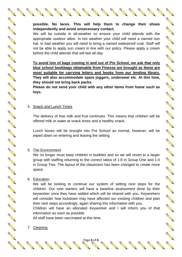AND A

A REA

A Maria

AND ROW

Control R

A REAL ASSESSMENT

**ANTICOLOGICAL CONTROLLER** 

A March 19

A A C

**RANT** 

No Real Real

CONTROLL OF

A REA

A A A

**ANTI** 

A March 19

Contractor of the

AND ROAD

AND TO

Contract of the Contract of the

A March

We will be outside in all-weather so ensure your child attends with the appropriate outdoor attire. In hot weather your child will need a named sun hat. In bad weather you will need to bring a named waterproof coat. Staff will not be able to apply sun cream in line with our policy. Please apply a cream before the child attends that will last all day.

**To avoid lots of bags coming in and out of Pre School, we ask that only blue school bookbags obtainable from Finesse are brought as these are most suitable for carrying letters and books from our lending library. They will also accommodate spare joggers, underwear etc**. **At this time, they should not bring back packs.**

**Please do not send your child with any other items from home such as toys.** 

## 4. Snack and Lunch Times

The delivery of free milk and fruit continues. This means that children will be offered milk or water at snack times and a healthy snack.

Lunch boxes will be brought into Pre School as normal, however, will be wiped down on entering and leaving the setting.

# 5. The Environment

We no longer must keep children in bubbles and so we will revert to a larger group with staffing returning to the correct ratios of 1:8 in Group One and 1:4 in Group Two. The layout of the classroom has been changed to create more space.

## 6. Education

We will be looking to continue our system of setting next steps for the children. Our new starters will have a baseline assessment done by their keyworker once they have settled which will be shared with you. Keyworkers will consider how lockdown may have affected our existing children and plan their next steps accordingly, again sharing this information with you.

Children will have an allocated Keyworker and I will inform you of that information as soon as possible

Page **4** of **6**

All staff have been vaccinated at this time.

# 7. Cleaning

A REA

Contract of the Contract of the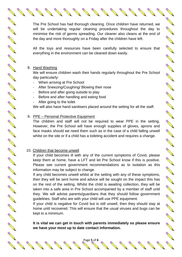The Pre School has had thorough cleaning. Once children have returned, we will be undertaking regular cleaning procedures throughout the day to minimise the risk of germs spreading. Our cleaner also cleans at the end of the day and more thoroughly on a Friday after the children have left.

Contract of the contract of

A REA

A Maria

**ANTICATION** 

**AND ROAD** 

AND ROOM

**CONTROLLER** 

**CONTROLLER** 

Contractor of

Control R

NA REA

Chance of the

CONTROLL OF

RANT RE

Control of the

A March

A March

**ANTICOLOGICAL CONTROLLER** 

Chance of the

A REA

**RANCISCO CONTROLLER** 

A A R

All the toys and resources have been carefully selected to ensure that everything in the environment can be cleaned down easily.

#### 8. Hand Washing

A RIVER

AND ROAD

A March 19

A REA

A REA

RANT R

A REA

**RANCISCO** 

RANT R

A REA

A REA

RANT R

AND RD

RANT R

AND RD

A AN

AND ROOM

AND RD

A REA

AND R

A AN

AND RO

RANT ROOM

**ANTI** 

A Maria Barat de la Caracción

Contract of the Contract of the Contract of The Contract of The Contract of The Contract of The Contract of The Contract of The Contract of The Contract of The Contract of The Contract of The Contract of The Contract of Th

We will ensure children wash their hands regularly throughout the Pre School day particularly:

- When arriving at Pre School
- After Sneezing/Coughing/ Blowing their nose
- Before and after going outside to play
- Before and after handling and eating food
- After going to the toilet

We will also have hand sanitisers placed around the setting for all the staff.

#### 9. PPE – Personal Protective Equipment

The children and staff will not be required to wear PPE in the setting. However, the Pre School will have enough supplies of gloves, aprons and face masks should we need them such as in the case of a child falling unwell whilst on the site or if a child has a toileting accident and requires a change.

### 10. Children that become unwell

If your child becomes ill with any of the current symptoms of Covid, please keep them at home, have a LFT and let Pre School know if this is positive. Please see current government recommendations as to isolation as this information may be subject to change.

If any child becomes unwell whilst at the setting with any of these symptoms, then they will be sent home and advice will be sought on the impact this has on the rest of the setting. Whilst the child is awaiting collection, they will be taken into a safe area in Pre School accompanied by a member of staff until they. We will advise parents/guardians that they should follow government guidelines. Staff who are with your child will use PPE equipment.

If your child is negative for Covid but is still unwell, then they should stay at home until recovered. This will ensure that the usual viruses and bugs can be kept to a minimum.

**It is vital we can get in touch with parents immediately so please ensure we have your most up to date contact information.**

Page **5** of **6**